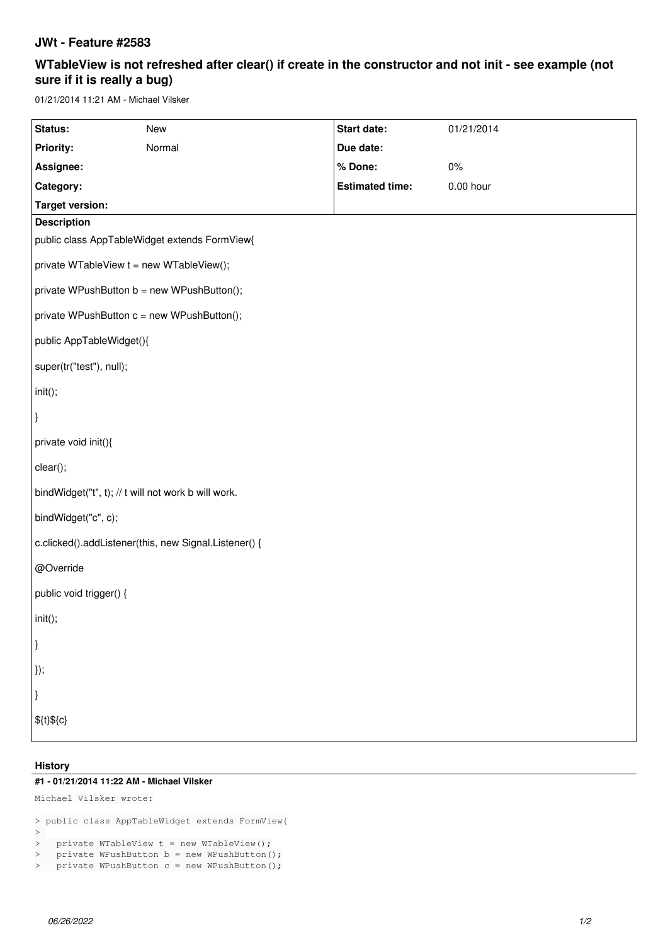## **JWt - Feature #2583**

# **WTableView is not refreshed after clear() if create in the constructor and not init - see example (not sure if it is really a bug)**

01/21/2014 11:21 AM - Michael Vilsker

| Status:                                               | New    | Start date:            | 01/21/2014  |
|-------------------------------------------------------|--------|------------------------|-------------|
| <b>Priority:</b>                                      | Normal | Due date:              |             |
| Assignee:                                             |        | % Done:                | 0%          |
| Category:                                             |        | <b>Estimated time:</b> | $0.00$ hour |
| <b>Target version:</b>                                |        |                        |             |
| <b>Description</b>                                    |        |                        |             |
| public class AppTableWidget extends FormView{         |        |                        |             |
| private WTableView t = new WTableView();              |        |                        |             |
| private WPushButton b = new WPushButton();            |        |                        |             |
| private WPushButton c = new WPushButton();            |        |                        |             |
| public AppTableWidget(){                              |        |                        |             |
| super(tr("test"), null);                              |        |                        |             |
| $ init()$ ;                                           |        |                        |             |
| $\vert$                                               |        |                        |             |
| private void init(){                                  |        |                        |             |
| clear();                                              |        |                        |             |
| bindWidget("t", t); // t will not work b will work.   |        |                        |             |
| bindWidget("c", c);                                   |        |                        |             |
| c.clicked().addListener(this, new Signal.Listener() { |        |                        |             |
| @Override                                             |        |                        |             |
| public void trigger() {                               |        |                        |             |
| $ $ init();                                           |        |                        |             |
| $\vert$                                               |        |                        |             |
| $\vert$ });                                           |        |                        |             |
| }                                                     |        |                        |             |
| $$$ {t}\${c}                                          |        |                        |             |
|                                                       |        |                        |             |

#### **History**

### **#1 - 01/21/2014 11:22 AM - Michael Vilsker**

```
Michael Vilsker wrote:
```

```
> public class AppTableWidget extends FormView{
> 
> private WTableView t = new WTableView();
> private WPushButton b = new WPushButton();
> private WPushButton c = new WPushButton();
```